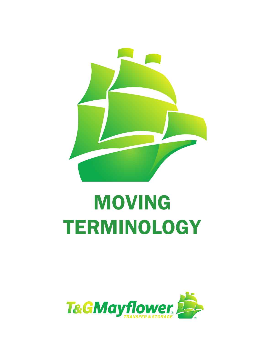

## MOVING **TERMINOLOGY**

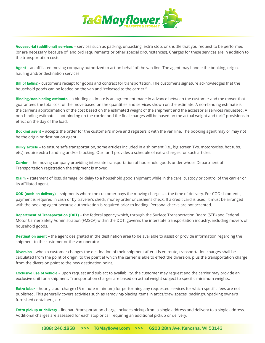

Accessorial (additional) services – services such as packing, unpacking, extra stop, or shuttle that you request to be performed (or are necessary because of landlord requirements or other special circumstances). Charges for these services are in addition to the transportation costs.

Agent - an affiliated moving company authorized to act on behalf of the van line. The agent may handle the booking, origin, hauling and/or destination services.

Bill of lading - customer's receipt for goods and contract for transportation. The customer's signature acknowledges that the household goods can be loaded on the van and "released to the carrier."

Binding/non-binding estimate – a binding estimate is an agreement made in advance between the customer and the mover that guarantees the total cost of the move based on the quantities and services shown on the estimate. A non-binding estimate is the carrier's approximation of the cost based on the estimated weight of the shipment and the accessorial services requested. A non-binding estimate is not binding on the carrier and the final charges will be based on the actual weight and tariff provisions in effect on the day of the load.

Booking agent – accepts the order for the customer's move and registers it with the van line. The booking agent may or may not be the origin or destination agent.

Bulky article - to ensure safe transportation, some articles included in a shipment (i.e., big screen TVs, motorcycles, hot tubs, etc.) require extra handling and/or blocking. Our tariff provides a schedule of extra charges for such articles.

**Carrier –** the moving company providing interstate transportation of household goods under whose Department of Transportation registration the shipment is moved.

Claim – statement of loss, damage, or delay to a household good shipment while in the care, custody or control of the carrier or its affiliated agent.

COD (cash on delivery) – shipments where the customer pays the moving charges at the time of delivery. For COD shipments, payment is required in cash or by traveler's check, money order or cashier's check. If a credit card is used, it must be arranged with the booking agent because authorization is required prior to loading. Personal checks are not accepted.

Department of Transportation (DOT) – the federal agency which, through the Surface Transportation Board (STB) and Federal Motor Carrier Safety Administration (FMSCA) within the DOT, governs the interstate transportation industry, including movers of household goods.

Destination agent – the agent designated in the destination area to be available to assist or provide information regarding the shipment to the customer or the van operator.

Diversion - when a customer changes the destination of their shipment after it is en route, transportation charges shall be calculated from the point of origin, to the point at which the carrier is able to effect the diversion, plus the transportation charge from the diversion point to the new destination point.

**Exclusive use of vehicle** – upon request and subject to availability, the customer may request and the carrier may provide an exclusive unit for a shipment. Transportation charges are based on actual weight subject to specific minimum weights.

**Extra labor** – hourly labor charge (15 minute minimum) for performing any requested services for which specific fees are not published. This generally covers activities such as removing/placing items in attics/crawlspaces, packing/unpacking owner's furnished containers, etc.

Extra pickup or delivery – linehaul/transportation charge includes pickup from a single address and delivery to a single address. Additional charges are assessed for each stop or call requiring an additional pickup or delivery.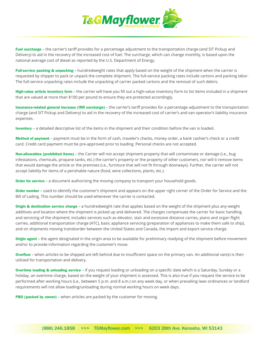

Fuel surcharge – the carrier's tariff provides for a percentage adjustment to the transportation charge (and SIT Pickup and Delivery) to aid in the recovery of the increased cost of fuel. The surcharge, which can change monthly, is based upon the national average cost of diesel as reported by the U.S. Department of Energy.

Full-service packing & unpacking – hundredweight rates that apply based on the weight of the shipment when the carrier is requested by shipper to pack or unpack the complete shipment. The full-service packing rates include cartons and packing labor. The full-service unpacking rates include the unpacking of carrier packed cartons and the removal of such debris.

High-value article inventory form – the carrier will have you fill out a high-value inventory form to list items included in a shipment that are valued at more than \$100 per pound to ensure they are protected accordingly.

Insurance-related general increase (IRR surcharge) – the carrier's tariff provides for a percentage adjustment to the transportation charge (and SIT Pickup and Delivery) to aid in the recovery of the increased cost of carrier's and van operator's liability insurance expenses.

Inventory – a detailed descriptive list of the items in the shipment and their condition before the van is loaded.

Method of payment – payment must be in the form of cash, traveler's checks, money order, a bank cashier's check or a credit card. Credit card payment must be pre-approved prior to loading. Personal checks are not accepted.

Non-allowables (prohibited items) – the Carrier will not accept shipment property that will contaminate or damage (i.e., bug infestations, chemicals, propane tanks, etc.) the carrier's property or the property of other customers, nor will it remove items that would damage the article or the premises (i.e., furniture that will not fit through doorways). Further, the carrier will not accept liability for items of a perishable nature (food, wine collections, plants, etc.).

Order for service - a document authorizing the moving company to transport your household goods.

Order number – used to identify the customer's shipment and appears on the upper right corner of the Order for Service and the Bill of Lading. This number should be used whenever the carrier is contacted.

Origin & destination service charge - a hundredweight rate that applies based on the weight of the shipment plus any weight additives and location where the shipment is picked up and delivered. The charges compensate the carrier for basic handling and servicing of the shipment; includes services such as elevator, stair and excessive distance carries, piano and organ flight carries, additional transportation charge (ATC), basic appliance servicing (preparation of appliances to make them safe to ship), and on shipments moving transborder between the United States and Canada, the import and export service charge.

Origin agent – the agent designated in the origin area to be available for preliminary readying of the shipment before movement and/or to provide information regarding the customer's move.

Overflow – when articles to be shipped are left behind due to insufficient space on the primary van. An additional van(s) is then utilized for transportation and delivery.

Overtime loading & unloading service – if you request loading or unloading on a specific date which is a Saturday, Sunday or a holiday, an overtime charge, based on the weight of your shipment is assessed. This is also true if you request the service to be performed after working hours (i.e., between 5 p.m. and 8 a.m.) on any week day, or when prevailing laws ordinances or landlord requirements will not allow loading/unloading during normal working hours on week days.

**PBO (packed by owner)** – when articles are packed by the customer for moving.